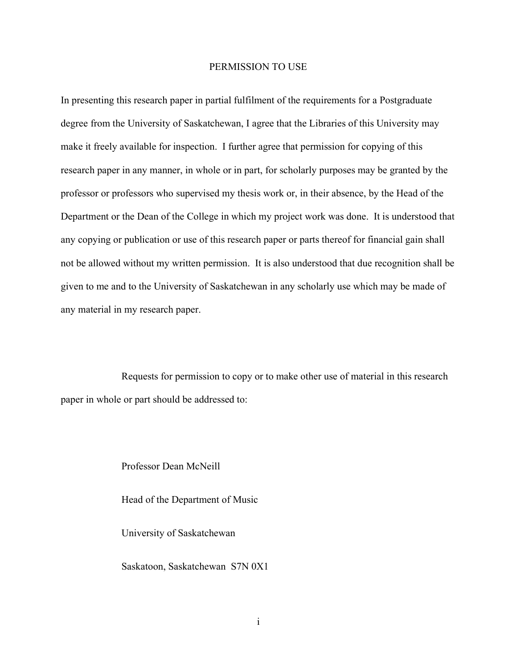### PERMISSION TO USE

In presenting this research paper in partial fulfilment of the requirements for a Postgraduate degree from the University of Saskatchewan, I agree that the Libraries of this University may make it freely available for inspection. I further agree that permission for copying of this research paper in any manner, in whole or in part, for scholarly purposes may be granted by the professor or professors who supervised my thesis work or, in their absence, by the Head of the Department or the Dean of the College in which my project work was done. It is understood that any copying or publication or use of this research paper or parts thereof for financial gain shall not be allowed without my written permission. It is also understood that due recognition shall be given to me and to the University of Saskatchewan in any scholarly use which may be made of any material in my research paper.

Requests for permission to copy or to make other use of material in this research paper in whole or part should be addressed to:

> Professor Dean McNeill Head of the Department of Music University of Saskatchewan Saskatoon, Saskatchewan S7N 0X1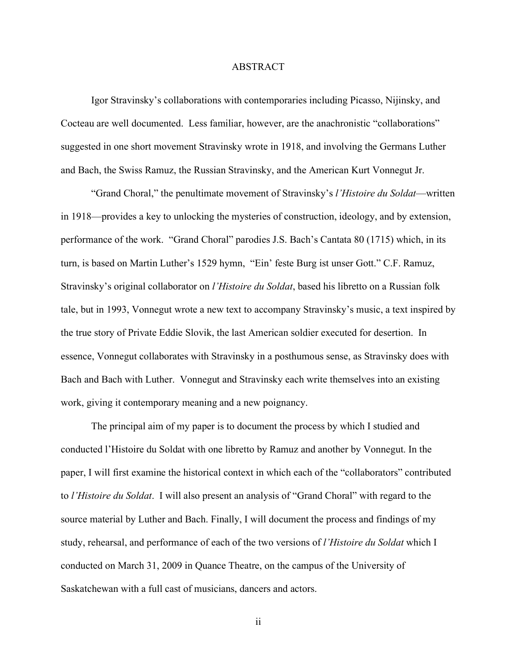## ABSTRACT

Igor Stravinsky's collaborations with contemporaries including Picasso, Nijinsky, and Cocteau are well documented. Less familiar, however, are the anachronistic "collaborations" suggested in one short movement Stravinsky wrote in 1918, and involving the Germans Luther and Bach, the Swiss Ramuz, the Russian Stravinsky, and the American Kurt Vonnegut Jr.

"Grand Choral," the penultimate movement of Stravinsky's *l'Histoire du Soldat*—written in 1918—provides a key to unlocking the mysteries of construction, ideology, and by extension, performance of the work. "Grand Choral" parodies J.S. Bach's Cantata 80 (1715) which, in its turn, is based on Martin Luther's 1529 hymn, "Ein' feste Burg ist unser Gott." C.F. Ramuz, Stravinsky's original collaborator on *l'Histoire du Soldat*, based his libretto on a Russian folk tale, but in 1993, Vonnegut wrote a new text to accompany Stravinsky's music, a text inspired by the true story of Private Eddie Slovik, the last American soldier executed for desertion. In essence, Vonnegut collaborates with Stravinsky in a posthumous sense, as Stravinsky does with Bach and Bach with Luther. Vonnegut and Stravinsky each write themselves into an existing work, giving it contemporary meaning and a new poignancy.

The principal aim of my paper is to document the process by which I studied and conducted l'Histoire du Soldat with one libretto by Ramuz and another by Vonnegut. In the paper, I will first examine the historical context in which each of the "collaborators" contributed to *l'Histoire du Soldat*. I will also present an analysis of "Grand Choral" with regard to the source material by Luther and Bach. Finally, I will document the process and findings of my study, rehearsal, and performance of each of the two versions of *l'Histoire du Soldat* which I conducted on March 31, 2009 in Quance Theatre, on the campus of the University of Saskatchewan with a full cast of musicians, dancers and actors.

ii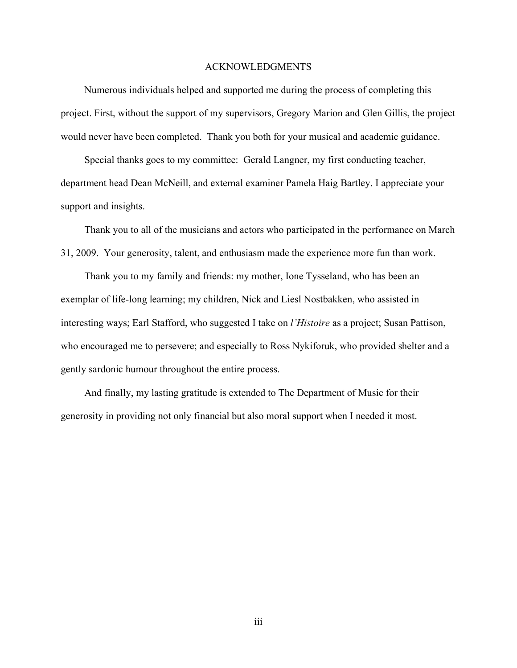#### ACKNOWLEDGMENTS

Numerous individuals helped and supported me during the process of completing this project. First, without the support of my supervisors, Gregory Marion and Glen Gillis, the project would never have been completed. Thank you both for your musical and academic guidance.

Special thanks goes to my committee: Gerald Langner, my first conducting teacher, department head Dean McNeill, and external examiner Pamela Haig Bartley. I appreciate your support and insights.

Thank you to all of the musicians and actors who participated in the performance on March 31, 2009. Your generosity, talent, and enthusiasm made the experience more fun than work.

Thank you to my family and friends: my mother, Ione Tysseland, who has been an exemplar of life-long learning; my children, Nick and Liesl Nostbakken, who assisted in interesting ways; Earl Stafford, who suggested I take on *l'Histoire* as a project; Susan Pattison, who encouraged me to persevere; and especially to Ross Nykiforuk, who provided shelter and a gently sardonic humour throughout the entire process.

And finally, my lasting gratitude is extended to The Department of Music for their generosity in providing not only financial but also moral support when I needed it most.

iii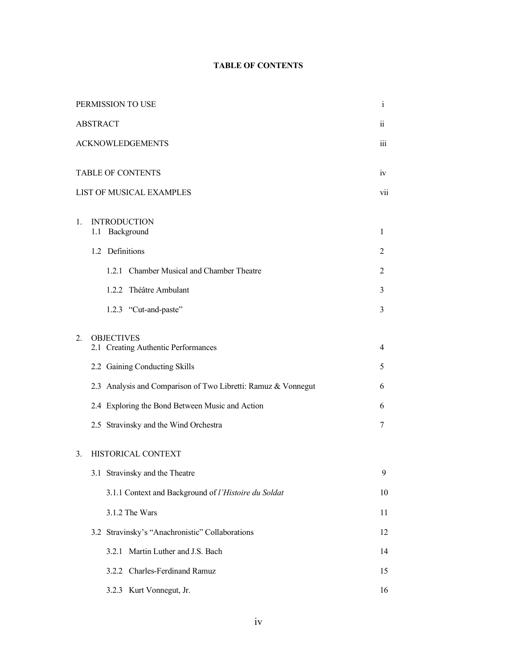## **TABLE OF CONTENTS**

| PERMISSION TO USE |                          |                                                               | $\mathbf{i}$   |  |
|-------------------|--------------------------|---------------------------------------------------------------|----------------|--|
| <b>ABSTRACT</b>   |                          |                                                               | $\ddot{\rm n}$ |  |
|                   | <b>ACKNOWLEDGEMENTS</b>  |                                                               |                |  |
|                   |                          |                                                               | iv             |  |
|                   | <b>TABLE OF CONTENTS</b> |                                                               |                |  |
|                   |                          | LIST OF MUSICAL EXAMPLES                                      | vii            |  |
| 1.                |                          | <b>INTRODUCTION</b>                                           |                |  |
|                   | 1.1                      | Background                                                    | $\mathbf{1}$   |  |
|                   |                          | 1.2 Definitions                                               | 2              |  |
|                   |                          | 1.2.1 Chamber Musical and Chamber Theatre                     | 2              |  |
|                   |                          | 1.2.2 Théâtre Ambulant                                        | 3              |  |
|                   |                          | 1.2.3 "Cut-and-paste"                                         | 3              |  |
| 2.                |                          | <b>OBJECTIVES</b>                                             |                |  |
|                   |                          | 2.1 Creating Authentic Performances                           | 4              |  |
|                   |                          | 2.2 Gaining Conducting Skills                                 | 5              |  |
|                   |                          | 2.3 Analysis and Comparison of Two Libretti: Ramuz & Vonnegut | 6              |  |
|                   |                          | 2.4 Exploring the Bond Between Music and Action               | 6              |  |
|                   |                          | 2.5 Stravinsky and the Wind Orchestra                         | 7              |  |
| 3.                |                          | HISTORICAL CONTEXT                                            |                |  |
|                   |                          | 3.1 Stravinsky and the Theatre                                | 9              |  |
|                   |                          | 3.1.1 Context and Background of l'Histoire du Soldat          | 10             |  |
|                   |                          | 3.1.2 The Wars                                                | 11             |  |
|                   |                          | 3.2 Stravinsky's "Anachronistic" Collaborations               | 12             |  |
|                   |                          | Martin Luther and J.S. Bach<br>3.2.1                          | 14             |  |
|                   |                          | 3.2.2 Charles-Ferdinand Ramuz                                 | 15             |  |
|                   |                          | 3.2.3 Kurt Vonnegut, Jr.                                      | 16             |  |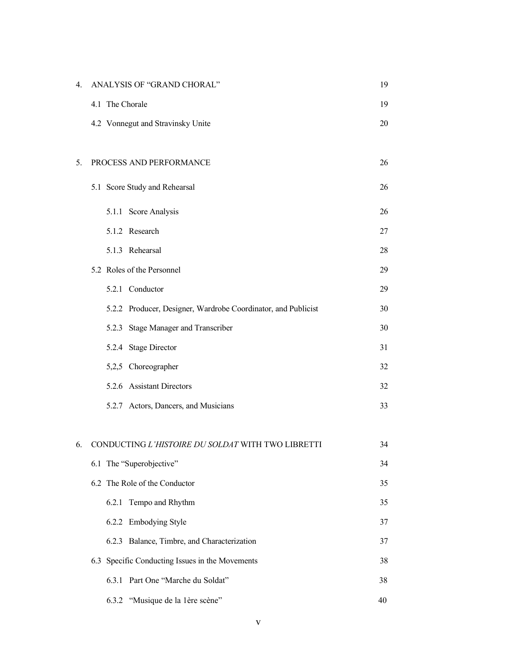| 4. | ANALYSIS OF "GRAND CHORAL"                                    | 19 |
|----|---------------------------------------------------------------|----|
|    | 4.1 The Chorale                                               | 19 |
|    | 4.2 Vonnegut and Stravinsky Unite                             | 20 |
|    |                                                               |    |
| 5. | PROCESS AND PERFORMANCE                                       | 26 |
|    | 5.1 Score Study and Rehearsal                                 | 26 |
|    | 5.1.1 Score Analysis                                          | 26 |
|    | 5.1.2 Research                                                | 27 |
|    | 5.1.3 Rehearsal                                               | 28 |
|    | 5.2 Roles of the Personnel                                    | 29 |
|    | 5.2.1 Conductor                                               | 29 |
|    | 5.2.2 Producer, Designer, Wardrobe Coordinator, and Publicist | 30 |
|    | Stage Manager and Transcriber<br>5.2.3                        | 30 |
|    | 5.2.4 Stage Director                                          | 31 |
|    | 5,2,5 Choreographer                                           | 32 |
|    | 5.2.6 Assistant Directors                                     | 32 |
|    | 5.2.7 Actors, Dancers, and Musicians                          | 33 |
|    |                                                               |    |
| 6. | CONDUCTING L'HISTOIRE DU SOLDAT WITH TWO LIBRETTI             | 34 |
|    | 6.1 The "Superobjective"                                      | 34 |
|    | 6.2 The Role of the Conductor                                 | 35 |
|    | Tempo and Rhythm<br>6.2.1                                     | 35 |
|    | <b>Embodying Style</b><br>6.2.2                               | 37 |
|    | Balance, Timbre, and Characterization<br>6.2.3                | 37 |
|    | Specific Conducting Issues in the Movements<br>6.3            | 38 |
|    | Part One "Marche du Soldat"<br>6.3.1                          | 38 |
|    | 6.3.2<br>"Musique de la 1ère scène"                           | 40 |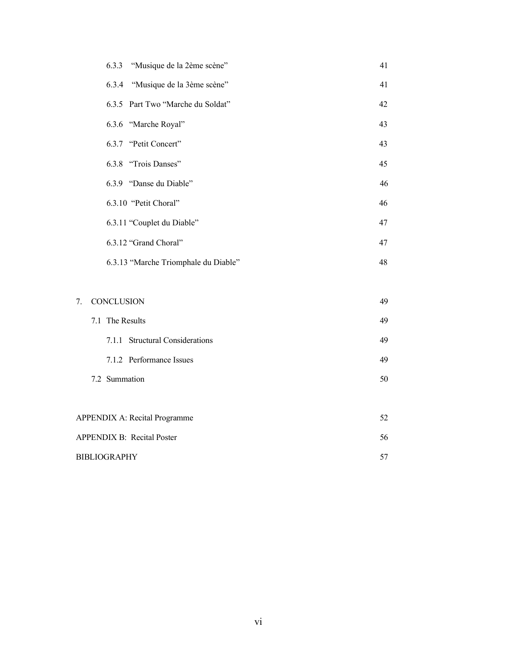|                                      | "Musique de la 2ème scène"<br>6.3.3  | 41 |  |
|--------------------------------------|--------------------------------------|----|--|
|                                      | 6.3.4<br>"Musique de la 3ème scène"  | 41 |  |
|                                      | 6.3.5 Part Two "Marche du Soldat"    | 42 |  |
|                                      | 6.3.6 "Marche Royal"                 | 43 |  |
|                                      | 6.3.7 "Petit Concert"                | 43 |  |
|                                      | 6.3.8 "Trois Danses"                 | 45 |  |
|                                      | 6.3.9 "Danse du Diable"              | 46 |  |
|                                      | 6.3.10 "Petit Choral"                | 46 |  |
|                                      | 6.3.11 "Couplet du Diable"           | 47 |  |
|                                      | 6.3.12 "Grand Choral"                | 47 |  |
|                                      | 6.3.13 "Marche Triomphale du Diable" | 48 |  |
|                                      |                                      |    |  |
| 7.                                   | CONCLUSION                           | 49 |  |
|                                      | 7.1 The Results                      | 49 |  |
|                                      | 7.1.1 Structural Considerations      | 49 |  |
|                                      | 7.1.2 Performance Issues             | 49 |  |
|                                      | 7.2 Summation                        | 50 |  |
|                                      |                                      |    |  |
| <b>APPENDIX A: Recital Programme</b> |                                      |    |  |
| <b>APPENDIX B: Recital Poster</b>    |                                      |    |  |
| <b>BIBLIOGRAPHY</b>                  |                                      |    |  |